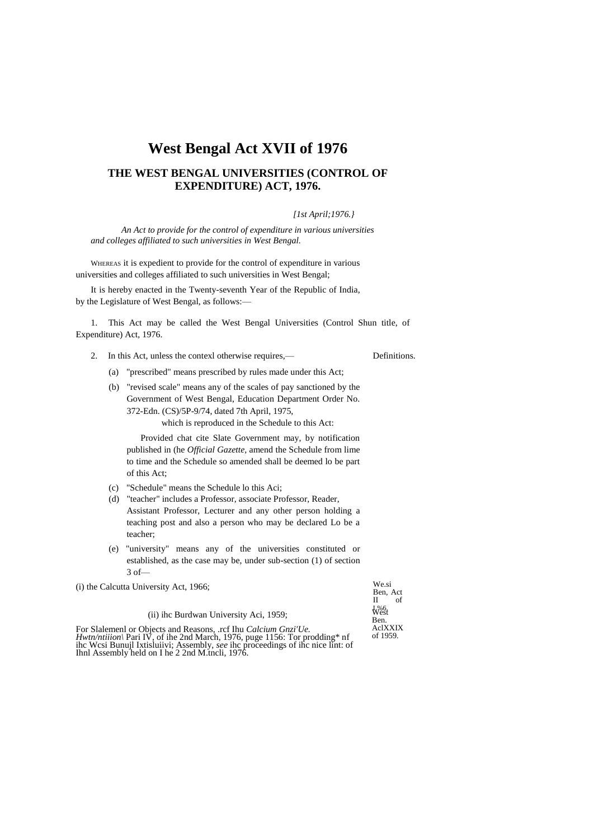# **West Bengal Act XVII of 1976**

# **THE WEST BENGAL UNIVERSITIES (CONTROL OF EXPENDITURE) ACT, 1976.**

## *[1st April;1976.}*

*An Act to provide for the control of expenditure in various universities and colleges affiliated to such universities in West Bengal.*

WHEREAS it is expedient to provide for the control of expenditure in various universities and colleges affiliated to such universities in West Bengal;

It is hereby enacted in the Twenty-seventh Year of the Republic of India, by the Legislature of West Bengal, as follows:—

1. This Act may be called the West Bengal Universities (Control Shun title, of Expenditure) Act, 1976.

2. In this Act, unless the contexl otherwise requires,— Definitions.

- (a) "prescribed" means prescribed by rules made under this Act;
- (b) "revised scale" means any of the scales of pay sanctioned by the Government of West Bengal, Education Department Order No. 372-Edn. (CS)/5P-9/74, dated 7th April, 1975,

which is reproduced in the Schedule to this Act:

Provided chat cite Slate Government may, by notification published in (he *Official Gazette,* amend the Schedule from lime to time and the Schedule so amended shall be deemed lo be part of this Act;

- (c) "Schedule" means the Schedule lo this Aci;
- (d) "teacher" includes a Professor, associate Professor, Reader, Assistant Professor, Lecturer and any other person holding a teaching post and also a person who may be declared Lo be a teacher;
- (e) "university" means any of the universities constituted or established, as the case may be, under sub-section (1) of section 3 of—

(i) the Calcutta University Act, 1966;

We.si Ben, Act<br>II of  $II$ L%6. West Ben. AclXXIX of 1959.

|  |  | (ii) ihc Burdwan University Aci, 1959; |  |  |  |
|--|--|----------------------------------------|--|--|--|
|--|--|----------------------------------------|--|--|--|

For Slalemenl or Objects and Reasons, .rcf Ihu Calcium Gnzi'Ue.<br>Hwtn/ntiiion\ Pari IV, of ihe 2nd March, 1976, puge 1156: Tor prodding\* nf<br>ihc Wcsi Bunujl Ixtisluiivi; Assembly, *see* ihc proceedings of ihc nice lint: of<br>I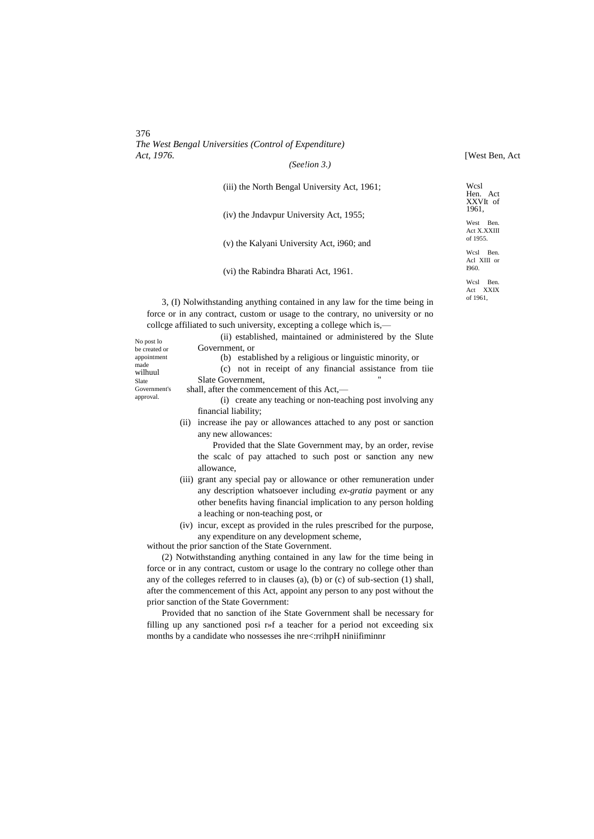[West Ben, Act

| (iii) the North Bengal University Act, 1961; |
|----------------------------------------------|
| (iv) the Jndavpur University Act, 1955;      |
| (v) the Kalyani University Act, 1960; and    |
|                                              |

(vi) the Rabindra Bharati Act, 1961.

West Ben Act X.XXIII of 1955. Wcsl Ben. Acl XIII or

Wcsl Hen. Act XXVIt of 1961,

Wcsl Ben. Act XXIX of 1961,

I960.

3, (I) Nolwithstanding anything contained in any law for the time being in force or in any contract, custom or usage to the contrary, no university or no collcge affiliated to such university, excepting a college which is,—

No post lo be created or appointment made wilhuul Slate Government's approval.

Government, or (b) established by a religious or linguistic minority, or

(ii) established, maintained or administered by the Slute

(c) not in receipt of any financial assistance from tiie Slate Government,

shall, after the commencement of this Act,—

(i) create any teaching or non-teaching post involving any financial liability;

(ii) increase ihe pay or allowances attached to any post or sanction any new allowances:

Provided that the Slate Government may, by an order, revise the scalc of pay attached to such post or sanction any new allowance,

- (iii) grant any special pay or allowance or other remuneration under any description whatsoever including *ex-gratia* payment or any other benefits having financial implication to any person holding a leaching or non-teaching post, or
- (iv) incur, except as provided in the rules prescribed for the purpose, any expenditure on any development scheme,

without the prior sanction of the State Government.

(2) Notwithstanding anything contained in any law for the time being in force or in any contract, custom or usage lo the contrary no college other than any of the colleges referred to in clauses (a), (b) or (c) of sub-section (1) shall, after the commencement of this Act, appoint any person to any post without the prior sanction of the State Government:

Provided that no sanction of ihe State Government shall be necessary for filling up any sanctioned posi r»f a teacher for a period not exceeding six months by a candidate who nossesses ihe nre<:rrihpH niniifiminnr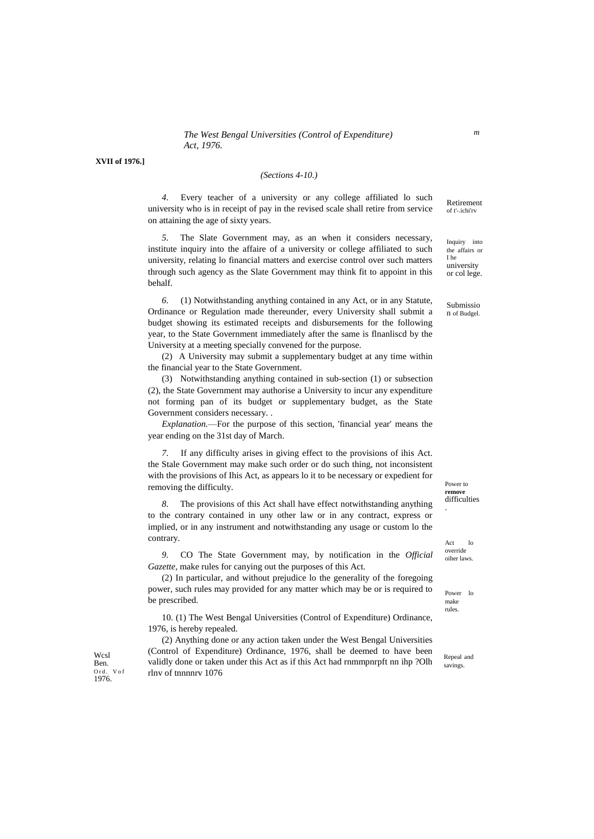**XVII of 1976.]**

#### *(Sections 4-10.)*

of t'-.ichi'rv *4.* Every teacher of a university or any college affiliated lo such university who is in receipt of pay in the revised scale shall retire from service on attaining the age of sixty years.

*5.* The Slate Government may, as an when it considers necessary, institute inquiry into the affaire of a university or college affiliated to such university, relating lo financial matters and exercise control over such matters through such agency as the Slate Government may think fit to appoint in this behalf.

*6.* (1) Notwithstanding anything contained in any Act, or in any Statute, Ordinance or Regulation made thereunder, every University shall submit a budget showing its estimated receipts and disbursements for the following year, to the State Government immediately after the same is flnanliscd by the University at a meeting specially convened for the purpose.

(2) A University may submit a supplementary budget at any time within the financial year to the State Government.

(3) Notwithstanding anything contained in sub-section (1) or subsection (2), the State Government may authorise a University to incur any expenditure not forming pan of its budget or supplementary budget, as the State Government considers necessary. .

*Explanation.*—For the purpose of this section, 'financial year' means the year ending on the 31st day of March.

*7.* If any difficulty arises in giving effect to the provisions of ihis Act. the Stale Government may make such order or do such thing, not inconsistent with the provisions of Ihis Act, as appears lo it to be necessary or expedient for removing the difficulty.

*8.* The provisions of this Act shall have effect notwithstanding anything to the contrary contained in uny other law or in any contract, express or implied, or in any instrument and notwithstanding any usage or custom lo the contrary.

*9.* CO The State Government may, by notification in the *Official Gazette,* make rules for canying out the purposes of this Act.

(2) In particular, and without prejudice lo the generality of the foregoing power, such rules may provided for any matter which may be or is required to be prescribed.

10. (1) The West Bengal Universities (Control of Expenditure) Ordinance, 1976, is hereby repealed.

(2) Anything done or any action taken under the West Bengal Universities (Control of Expenditure) Ordinance, 1976, shall be deemed to have been validly done or taken under this Act as if this Act had rnmmpnrpft nn ihp ?Olh rlnv of tnnnnrv 1076

Inquiry into the affairs or I he university

or col lege.

Retirement

Submissio n of Budgel.

Power to **remove** difficulties .

Act lo override oiher laws.

Power lo make rules.

Repeal and savings.

**Wcsl** Ben. Ord. Vof 1976.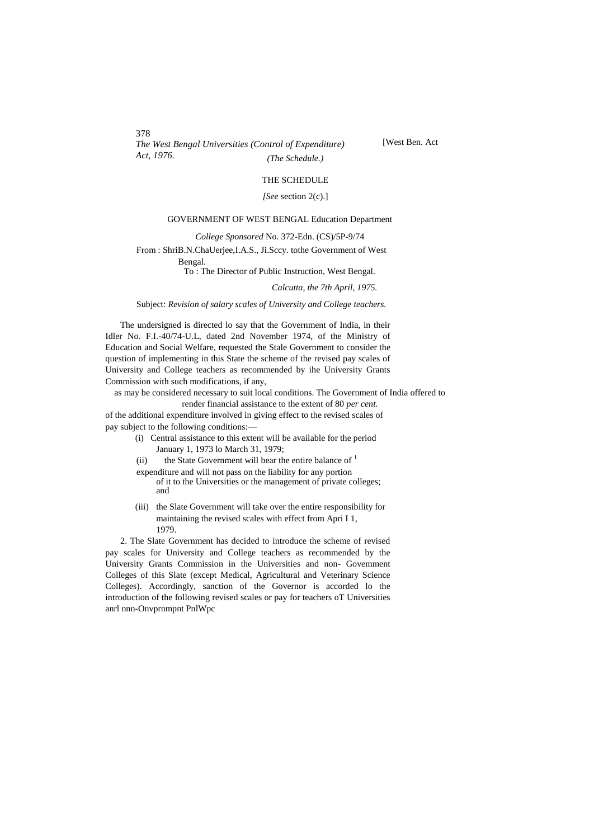*The West Bengal Universities (Control of Expenditure) Act, 1976. (The Schedule.)*

[West Ben. Act

# THE SCHEDULE

*[See* section 2(c).]

#### GOVERNMENT OF WEST BENGAL Education Department

*College Sponsored* No. 372-Edn. (CS)/5P-9/74

From : ShriB.N.ChaUerjee,I.A.S., Ji.Sccy. tothe Government of West

Bengal.

# To : The Director of Public Instruction, West Bengal.

*Calcutta, the 7th April, 1975.*

### Subject: *Revision of salary scales of University and College teachers.*

The undersigned is directed lo say that the Government of India, in their Idler No. F.I.-40/74-U.L, dated 2nd November 1974, of the Ministry of Education and Social Welfare, requested the Stale Government to consider the question of implementing in this State the scheme of the revised pay scales of University and College teachers as recommended by ihe University Grants Commission with such modifications, if any,

as may be considered necessary to suit local conditions. The Government of India offered to

render financial assistance to the extent of 80 *per cent.* of the additional expenditure involved in giving effect to the revised scales of pay subject to the following conditions:—

- (i) Central assistance to this extent will be available for the period January 1, 1973 lo March 31, 1979;
- (ii) the State Government will bear the entire balance of  $<sup>1</sup>$ </sup>

expenditure and will not pass on the liability for any portion

- of it to the Universities or the management of private colleges; and
- (iii) the Slate Government will take over the entire responsibility for maintaining the revised scales with effect from Apri I 1, 1979.

2. The Slate Government has decided to introduce the scheme of revised pay scales for University and College teachers as recommended by the University Grants Commission in the Universities and non- Govemment Colleges of this Slate (except Medical, Agricultural and Veterinary Science Colleges). Accordingly, sanction of the Governor is accorded lo the introduction of the following revised scales or pay for teachers oT Universities anrl nnn-Onvprnmpnt PnlWpc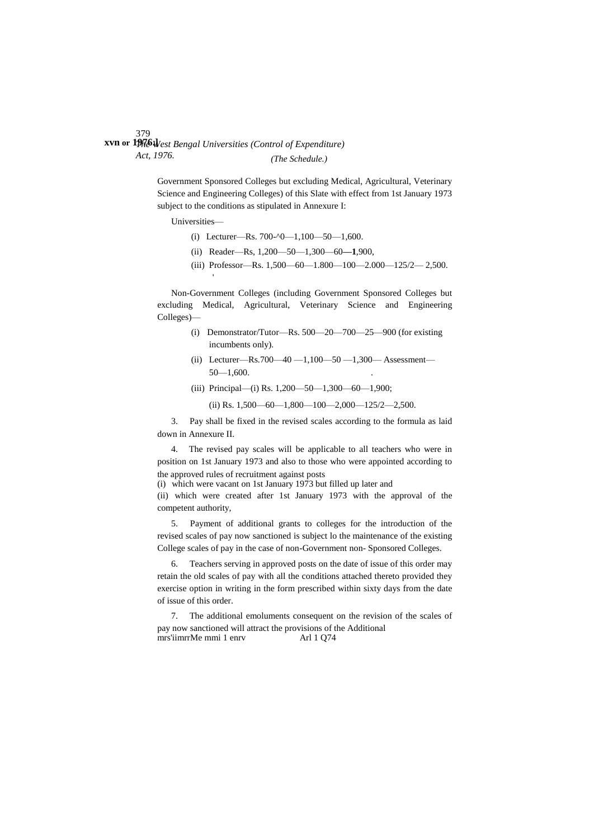379 *The West Bengal Universities (Control of Expenditure)* **xvn or 1976.]** *Act, 1976. (The Schedule.)*

> Government Sponsored Colleges but excluding Medical, Agricultural, Veterinary Science and Engineering Colleges) of this Slate with effect from 1st January 1973 subject to the conditions as stipulated in Annexure I:

Universities—

- (i) Lecturer—Rs. 700- $\textdegree$ 0—1,100—50—1,600.
- (ii) Reader—Rs, 1,200—50—1,300—60**—1**,900,
- (iii) Professor—Rs. 1,500—60—1.800—100—2.000—125/2— 2,500.

Non-Government Colleges (including Government Sponsored Colleges but excluding Medical, Agricultural, Veterinary Science and Engineering Colleges)—

- (i) Demonstrator/Tutor—Rs. 500—20—700—25—900 (for existing incumbents only).
- (ii) Lecturer—Rs.700—40 —1,100—50 —1,300— Assessment—  $50 - 1,600$ .
- (iii) Principal—(i) Rs. 1,200—50—1,300—60—1,900;

(ii) Rs. 1,500—60—1,800—100—2,000—125/2—2,500.

3. Pay shall be fixed in the revised scales according to the formula as laid down in Annexure II.

4. The revised pay scales will be applicable to all teachers who were in position on 1st January 1973 and also to those who were appointed according to the approved rules of recruitment against posts

(i) which were vacant on 1st January 1973 but filled up later and

(ii) which were created after 1st January 1973 with the approval of the competent authority,

5. Payment of additional grants to colleges for the introduction of the revised scales of pay now sanctioned is subject lo the maintenance of the existing College scales of pay in the case of non-Government non- Sponsored Colleges.

6. Teachers serving in approved posts on the date of issue of this order may retain the old scales of pay with all the conditions attached thereto provided they exercise option in writing in the form prescribed within sixty days from the date of issue of this order.

7. The additional emoluments consequent on the revision of the scales of pay now sanctioned will attract the provisions of the Additional mrs'iimrrMe mmi 1 enrv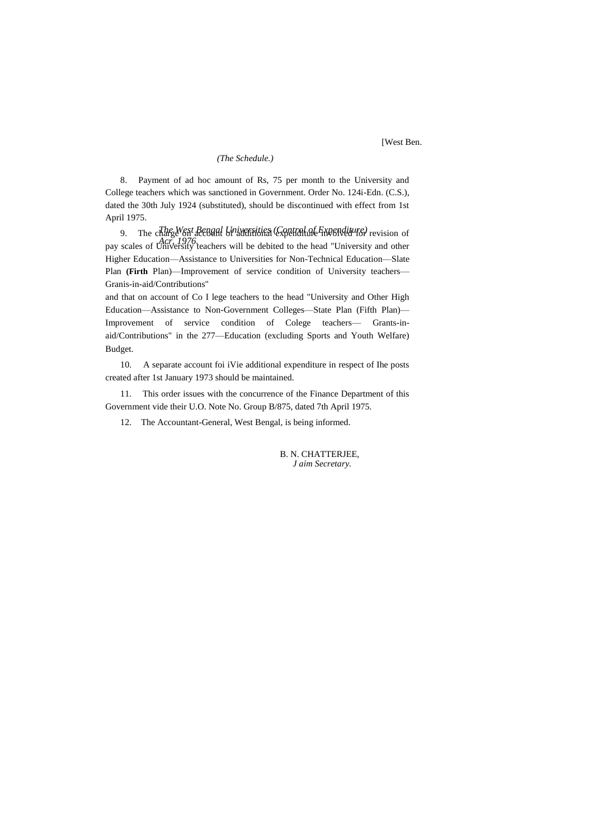[West Ben.

#### *(The Schedule.)*

8. Payment of ad hoc amount of Rs, 75 per month to the University and College teachers which was sanctioned in Government. Order No. 124i-Edn. (C.S.), dated the 30th July 1924 (substituted), should be discontinued with effect from 1st April 1975.

*The West Bengal Universities (Control of Expenditure)* 9. The charge on account of additional experience involved for revision of<br>cases of the 1976.cookers will be debited to the heed "University and other pay scales of University teachers will be debited to the head "University and other Higher Education—Assistance to Universities for Non-Technical Education—Slate Plan **(Firth** Plan)—Improvement of service condition of University teachers— Granis-in-aid/Contributions"

and that on account of Co I lege teachers to the head "University and Other High Education—Assistance to Non-Government Colleges—State Plan (Fifth Plan)— Improvement of service condition of Colege teachers— Grants-inaid/Contributions" in the 277—Education (excluding Sports and Youth Welfare) Budget.

10. A separate account foi iVie additional expenditure in respect of Ihe posts created after 1st January 1973 should be maintained.

11. This order issues with the concurrence of the Finance Department of this Government vide their U.O. Note No. Group B/875, dated 7th April 1975.

12. The Accountant-General, West Bengal, is being informed.

B. N. CHATTERJEE, *J aim Secretary.*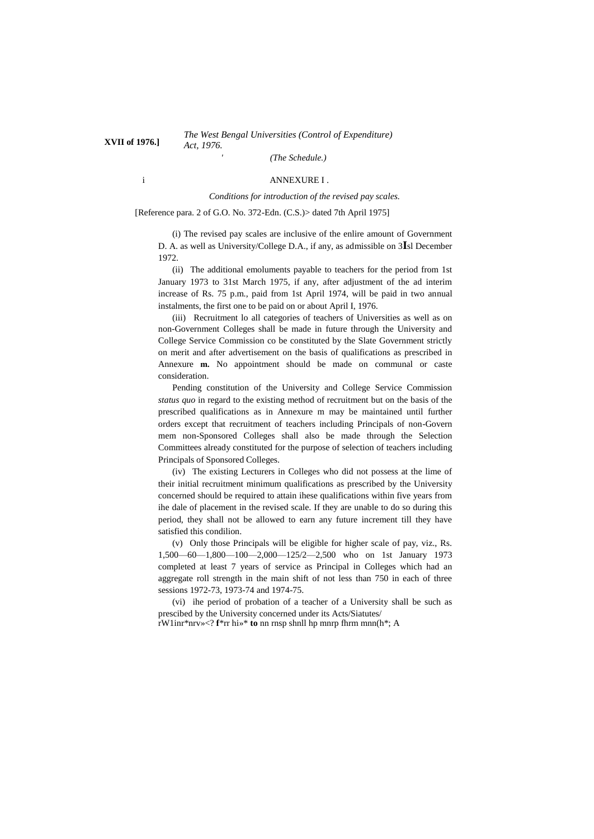# *The West Bengal Universities (Control of Expenditure) Act, 1976.* **XVII of 1976.]**

*(The Schedule.)*

## i ANNEXURE I .

#### *Conditions for introduction of the revised pay scales.*

[Reference para. 2 of G.O. No. 372-Edn. (C.S.)> dated 7th April 1975]

(i) The revised pay scales are inclusive of the enlire amount of Government D. A. as well as University/College D.A., if any, as admissible on 3**I**sl December 1972.

(ii) The additional emoluments payable to teachers for the period from 1st January 1973 to 31st March 1975, if any, after adjustment of the ad interim increase of Rs. 75 p.m., paid from 1st April 1974, will be paid in two annual instalments, the first one to be paid on or about April I, 1976.

(iii) Recruitment lo all categories of teachers of Universities as well as on non-Government Colleges shall be made in future through the University and College Service Commission co be constituted by the Slate Government strictly on merit and after advertisement on the basis of qualifications as prescribed in Annexure **m.** No appointment should be made on communal or caste consideration.

Pending constitution of the University and College Service Commission *status quo* in regard to the existing method of recruitment but on the basis of the prescribed qualifications as in Annexure m may be maintained until further orders except that recruitment of teachers including Principals of non-Govern mem non-Sponsored Colleges shall also be made through the Selection Committees already constituted for the purpose of selection of teachers including Principals of Sponsored Colleges.

(iv) The existing Lecturers in Colleges who did not possess at the lime of their initial recruitment minimum qualifications as prescribed by the University concerned should be required to attain ihese qualifications within five years from ihe dale of placement in the revised scale. If they are unable to do so during this period, they shall not be allowed to earn any future increment till they have satisfied this condilion.

(v) Only those Principals will be eligible for higher scale of pay, viz., Rs. 1,500—60—1,800—100—2,000—125/2—2,500 who on 1st January 1973 completed at least 7 years of service as Principal in Colleges which had an aggregate roll strength in the main shift of not less than 750 in each of three sessions 1972-73, 1973-74 and 1974-75.

(vi) ihe period of probation of a teacher of a University shall be such as prescibed by the University concerned under its Acts/Siatutes/

rW1inr\*nrv»<? **f**\*rr hi»\* **to** nn rnsp shnll hp mnrp fhrm mnn(h\*; A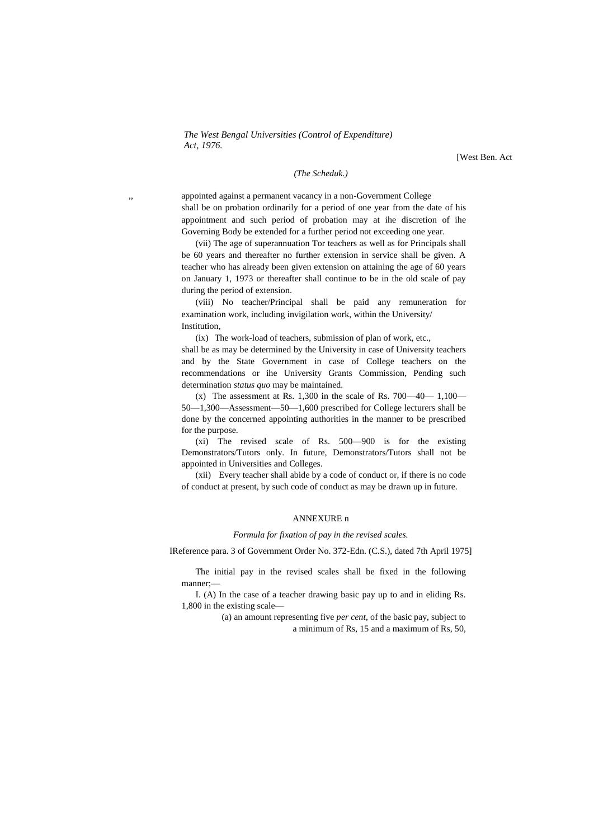[West Ben. Act

## *(The Scheduk.)*

appointed against a permanent vacancy in a non-Government College shall be on probation ordinarily for a period of one year from the date of his appointment and such period of probation may at ihe discretion of ihe Governing Body be extended for a further period not exceeding one year.

(vii) The age of superannuation Tor teachers as well as for Principals shall be 60 years and thereafter no further extension in service shall be given. A teacher who has already been given extension on attaining the age of 60 years on January 1, 1973 or thereafter shall continue to be in the old scale of pay during the period of extension.

(viii) No teacher/Principal shall be paid any remuneration for examination work, including invigilation work, within the University/ Institution,

(ix) The work-load of teachers, submission of plan of work, etc.,

shall be as may be determined by the University in case of University teachers and by the State Government in case of College teachers on the recommendations or ihe University Grants Commission, Pending such determination *status quo* may be maintained.

(x) The assessment at Rs. 1,300 in the scale of Rs.  $700-40-1,100-$ 50—1,300—Assessment—50—1,600 prescribed for College lecturers shall be done by the concerned appointing authorities in the manner to be prescribed for the purpose.

(xi) The revised scale of Rs. 500—900 is for the existing Demonstrators/Tutors only. In future, Demonstrators/Tutors shall not be appointed in Universities and Colleges.

(xii) Every teacher shall abide by a code of conduct or, if there is no code of conduct at present, by such code of conduct as may be drawn up in future.

# ANNEXURE n

#### *Formula for fixation of pay in the revised scales.*

IReference para. 3 of Government Order No. 372-Edn. (C.S.), dated 7th April 1975]

The initial pay in the revised scales shall be fixed in the following manner;—

I. (A) In the case of a teacher drawing basic pay up to and in eliding Rs. 1,800 in the existing scale—

> (a) an amount representing five *per cent,* of the basic pay, subject to a minimum of Rs, 15 and a maximum of Rs, 50,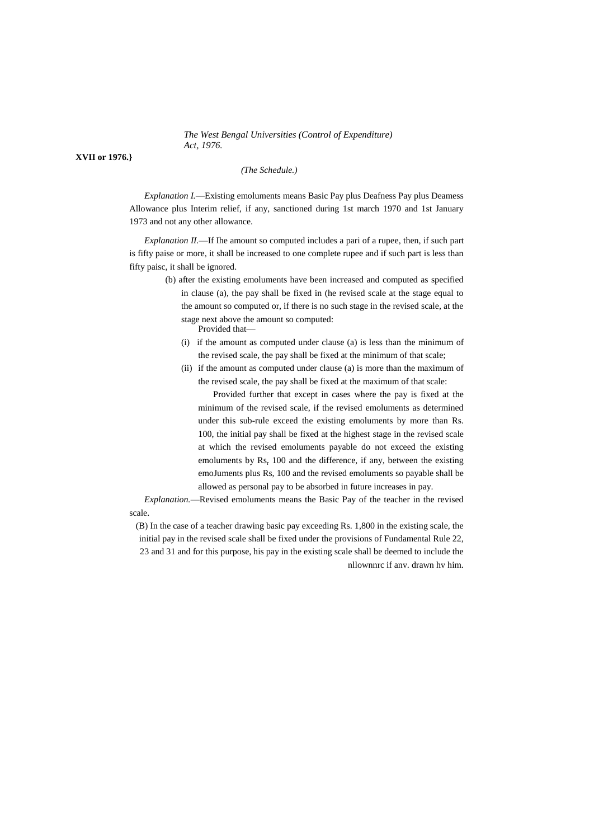**XVII or 1976.}**

# *(The Schedule.)*

*Explanation I.*—Existing emoluments means Basic Pay plus Deafness Pay plus Deamess Allowance plus Interim relief, if any, sanctioned during 1st march 1970 and 1st January 1973 and not any other allowance.

*Explanation II.*—If Ihe amount so computed includes a pari of a rupee, then, if such part is fifty paise or more, it shall be increased to one complete rupee and if such part is less than fifty paisc, it shall be ignored.

- (b) after the existing emoluments have been increased and computed as specified in clause (a), the pay shall be fixed in (he revised scale at the stage equal to the amount so computed or, if there is no such stage in the revised scale, at the stage next above the amount so computed: Provided that—
	- (i) if the amount as computed under clause (a) is less than the minimum of the revised scale, the pay shall be fixed at the minimum of that scale;
	- (ii) if the amount as computed under clause (a) is more than the maximum of the revised scale, the pay shall be fixed at the maximum of that scale:

Provided further that except in cases where the pay is fixed at the minimum of the revised scale, if the revised emoluments as determined under this sub-rule exceed the existing emoluments by more than Rs. 100, the initial pay shall be fixed at the highest stage in the revised scale at which the revised emoluments payable do not exceed the existing emoluments by  $Rs<sub>r</sub>$  100 and the difference, if any, between the existing emoJuments plus Rs, 100 and the revised emoluments so payable shall be allowed as personal pay to be absorbed in future increases in pay.

*Explanation.*—Revised emoluments means the Basic Pay of the teacher in the revised scale.

(B) In the case of a teacher drawing basic pay exceeding Rs. 1,800 in the existing scale, the initial pay in the revised scale shall be fixed under the provisions of Fundamental Rule 22, 23 and 31 and for this purpose, his pay in the existing scale shall be deemed to include the nllownnrc if anv. drawn hv him.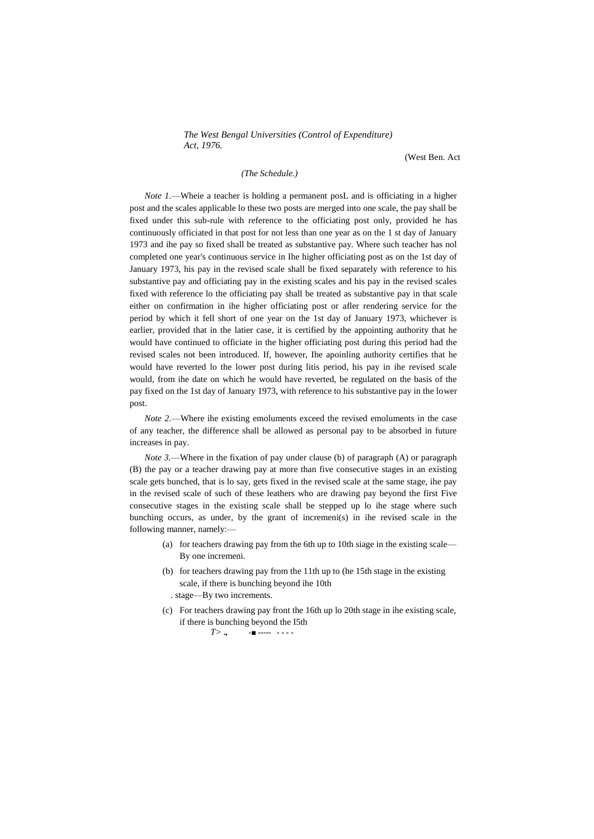(West Ben. Act

# *(The Schedule.)*

*Note 1.*—Wheie a teacher is holding a permanent posL and is officiating in a higher post and the scales applicable lo these two posts are merged into one scale, the pay shall be fixed under this sub-rule with reference to the officiating post only, provided he has continuously officiated in that post for not less than one year as on the 1 st day of January 1973 and ihe pay so fixed shall be treated as substantive pay. Where such teacher has nol completed one year's continuous service in Ihe higher officiating post as on the 1st day of January 1973, his pay in the revised scale shall be fixed separately with reference to his substantive pay and officiating pay in the existing scales and his pay in the revised scales fixed with reference lo the officiating pay shall be treated as substantive pay in that scale either on confirmation in ihe higher officiating post or afler rendering service for the period by which it fell short of one year on the 1st day of January 1973, whichever is earlier, provided that in the latier case, it is certified by the appointing authority that he would have continued to officiate in the higher officiating post during this period had the revised scales not been introduced. If, however, Ihe apoinling authority certifies that he would have reverted lo the lower post during litis period, his pay in ihe revised scale would, from ihe date on which he would have reverted, be regulated on the basis of the pay fixed on the 1st day of January 1973, with reference to his substantive pay in the lower post.

*Note 2.*—Where ihe existing emoluments exceed the revised emoluments in the case of any teacher, the difference shall be allowed as personal pay to be absorbed in future increases in pay.

*Note 3.*—Where in the fixation of pay under clause (b) of paragraph (A) or paragraph (B) the pay or a teacher drawing pay at more than five consecutive stages in an existing scale gets bunched, that is lo say, gets fixed in the revised scale at the same stage, ihe pay in the revised scale of such of these leathers who are drawing pay beyond the first Five consecutive stages in the existing scale shall be stepped up lo ihe stage where such bunching occurs, as under, by the grant of incremeni(s) in ihe revised scale in the following manner, namely:—

- (a) for teachers drawing pay from the 6th up to 10th siage in the existing scale— By one incremeni.
- (b) for teachers drawing pay from the 11th up to (he 15th stage in the existing scale, if there is bunching beyond ihe 10th . stage—By two increments.
- (c) For teachers drawing pay front the 16th up lo 20th stage in ihe existing scale, if there is bunching beyond the I5th *T>* **., -■ ----- - - - -**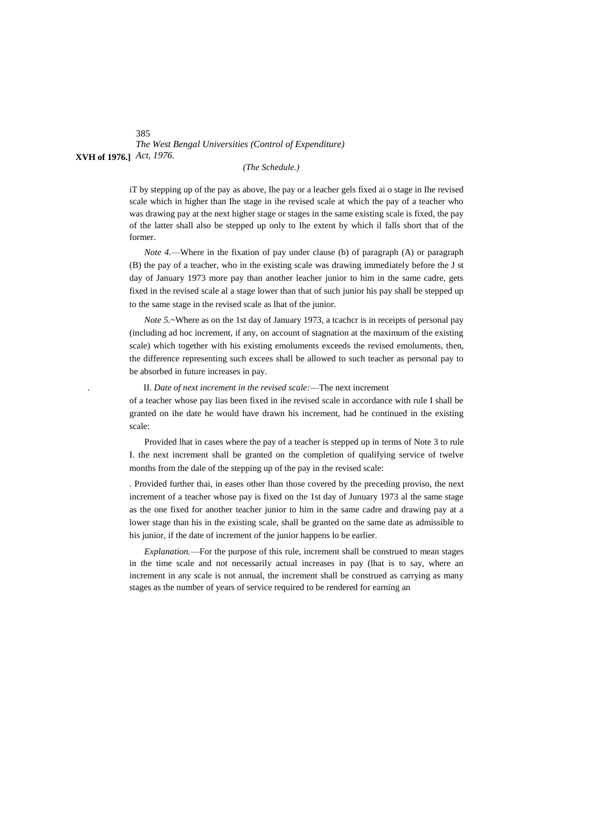# *The West Bengal Universities (Control of Expenditure)* **XVH of 1976.]** *Act, 1976.*

# *(The Schedule.)*

iT by stepping up of the pay as above, Ihe pay or a leacher gels fixed ai o stage in Ihe revised scale which in higher than Ihe stage in ihe revised scale at which the pay of a teacher who was drawing pay at the next higher stage or stages in the same existing scale is fixed, the pay of the latter shall also be stepped up only to Ihe extent by which il falls short that of the former.

*Note 4.*—Where in the fixation of pay under clause (b) of paragraph (A) or paragraph (B) the pay of a teacher, who in the existing scale was drawing immediately before the J st day of January 1973 more pay than another leacher junior to him in the same cadre, gets fixed in the revised scale al a stage lower than that of such junior his pay shall be stepped up to the same stage in the revised scale as lhat of the junior.

*Note* 5.~Where as on the 1st day of January 1973, a tcachcr is in receipts of personal pay (including ad hoc increment, if any, on account of stagnation at the maximum of the existing scale) which together with his existing emoluments exceeds the revised emoluments, then, the difference representing such excees shall be allowed to such teacher as personal pay to be absorbed in future increases in pay.

. II. *Date of next increment in the revised scale:*—The next increment

of a teacher whose pay lias been fixed in ihe revised scale in accordance with rule I shall be granted on ihe date he would have drawn his increment, had he continued in the existing scale:

Provided lhat in cases where the pay of a teacher is stepped up in terms of Note 3 to rule I. the next increment shall be granted on the completion of qualifying service of twelve months from the dale of the stepping up of the pay in the revised scale:

. Provided further thai, in eases other lhan those covered by the preceding proviso, the next increment of a teacher whose pay is fixed on the 1st day of Junuary 1973 al the same stage as the one fixed for another teacher junior to him in the same cadre and drawing pay at a lower stage than his in the existing scale, shall be granted on the same date as admissible to his junior, if the date of increment of the junior happens lo be earlier.

*Explanation.*—For the purpose of this rule, increment shall be construed to mean stages in the time scale and not necessarily actual increases in pay (lhat is to say, where an increment in any scale is not annual, the increment shall be construed as carrying as many stages as the number of years of service required to be rendered for earning an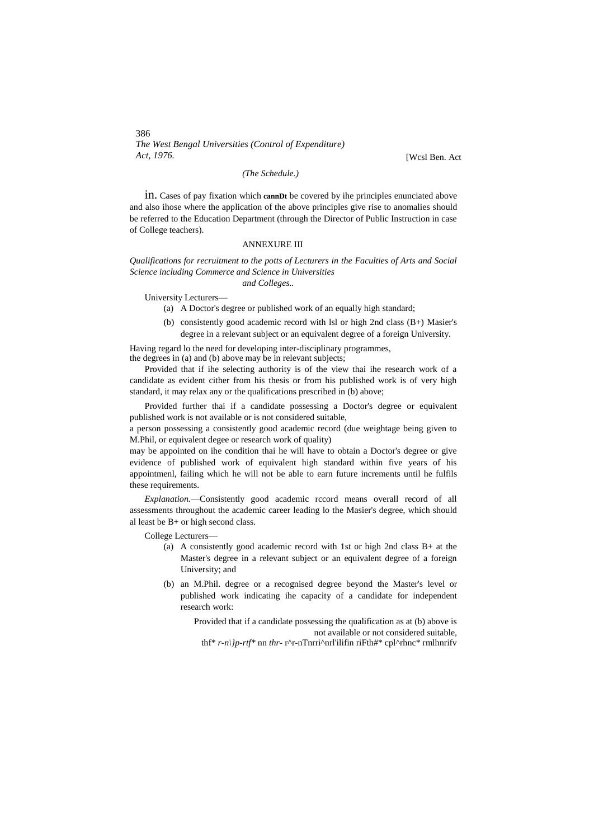*The West Bengal Universities (Control of Expenditure) Act, 1976.* [Wcsl Ben. Act

*(The Schedule.)*

in. Cases of pay fixation which **cannDt** be covered by ihe principles enunciated above and also ihose where the application of the above principles give rise to anomalies should be referred to the Education Department (through the Director of Public Instruction in case of College teachers).

# ANNEXURE III

*Qualifications for recruitment to the potts of Lecturers in the Faculties of Arts and Social Science including Commerce and Science in Universities*

*and Colleges..*

University Lecturers—

(a) A Doctor's degree or published work of an equally high standard;

(b) consistently good academic record with lsl or high 2nd class (B+) Masier's degree in a relevant subject or an equivalent degree of a foreign University.

Having regard lo the need for developing inter-disciplinary programmes, the degrees in (a) and (b) above may be in relevant subjects;

Provided that if ihe selecting authority is of the view thai ihe research work of a candidate as evident cither from his thesis or from his published work is of very high standard, it may relax any or the qualifications prescribed in (b) above;

Provided further thai if a candidate possessing a Doctor's degree or equivalent published work is not available or is not considered suitable,

a person possessing a consistently good academic record (due weightage being given to M.Phil, or equivalent degee or research work of quality)

may be appointed on ihe condition thai he will have to obtain a Doctor's degree or give evidence of published work of equivalent high standard within five years of his appointmenl, failing which he will not be able to earn future increments until he fulfils these requirements.

*Explanation.*—Consistently good academic rccord means overall record of all assessments throughout the academic career leading lo the Masier's degree, which should al least be B+ or high second class.

College Lecturers—

- (a) A consistently good academic record with 1st or high 2nd class B+ at the Master's degree in a relevant subject or an equivalent degree of a foreign University; and
- (b) an M.Phil. degree or a recognised degree beyond the Master's level or published work indicating ihe capacity of a candidate for independent research work:

Provided that if a candidate possessing the qualification as at (b) above is not available or not considered suitable, thf\* *r-n\}p-rtf\** nn *thr-* r^r-nTnrri^nrl'ilifin riFth#\* cpl^rhnc\* rmlhnrifv